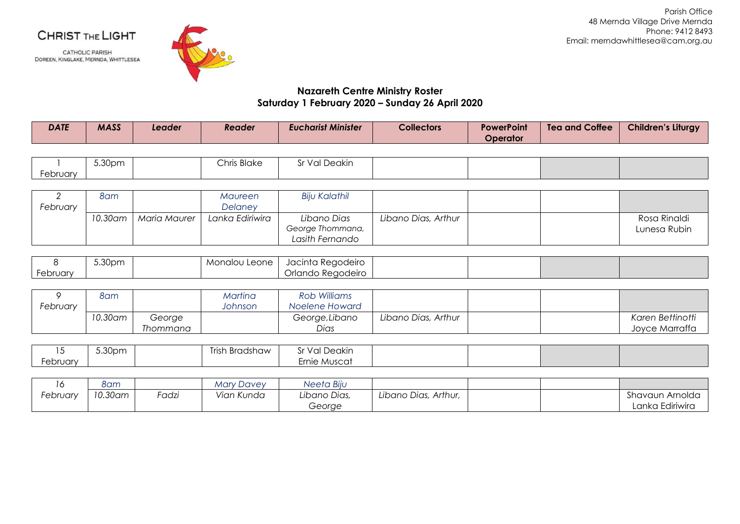## CHRIST THE LIGHT

**CATHOLIC PARISH** DOREEN, KINGLAKE, MERNDA, WHITTLESEA



Parish Office 48 Mernda Village Drive Mernda Phone: 9412 8493 Email: merndawhittlesea@cam.org.au

## **Nazareth Centre Ministry Roster Saturday 1 February 2020 – Sunday 26 April 2020**

| <b>DATE</b> | <b>MASS</b> | Leader | Reader | <b>Eucharist Minister</b> | <b>Collectors</b> | <b>PowerPoint</b><br>Operator | <b>Tea and Coffee</b> | <b>Children's Liturgy</b> |
|-------------|-------------|--------|--------|---------------------------|-------------------|-------------------------------|-----------------------|---------------------------|
|-------------|-------------|--------|--------|---------------------------|-------------------|-------------------------------|-----------------------|---------------------------|

|          | 5.30pm | <b>Chris Blake</b> | l Deakin<br>$\sqrt{2}$<br>v ur<br>الت |  |  |
|----------|--------|--------------------|---------------------------------------|--|--|
| February |        |                    |                                       |  |  |

|          | 8am     |              | Maureen         | Biju Kalathil                                      |                     |  |                              |
|----------|---------|--------------|-----------------|----------------------------------------------------|---------------------|--|------------------------------|
| February |         |              | Delaney         |                                                    |                     |  |                              |
|          | 10.30am | Maria Maurer | Lanka Ediriwira | Libano Dias<br>George Thommana,<br>Lasith Fernando | Libano Dias, Arthur |  | Rosa Rinaldi<br>Lunesa Rubin |

|          | 5.30pm | Monalou Leone I | Jacinta Regodeiro |  |  |
|----------|--------|-----------------|-------------------|--|--|
| February |        |                 | Orlando Regodeiro |  |  |

|          | 8am     |          | Martina | Rob Williams   |                     |  |                  |
|----------|---------|----------|---------|----------------|---------------------|--|------------------|
| February |         |          | Johnson | Noelene Howard |                     |  |                  |
|          | 10.30am | George   |         | George, Libano | Libano Dias, Arthur |  | Karen Bettinotti |
|          |         | Thommana |         | Dias           |                     |  | Joyce Marraffa   |

|                        | 5.30pm | -<br>$\bullet$<br>ı Bradshaw<br>Trish | ' Deakin<br>-Sr Val |  |  |
|------------------------|--------|---------------------------------------|---------------------|--|--|
| <i><b>Lebruary</b></i> |        |                                       | Ernie Muscat        |  |  |

| ັ        | 8am     |      | Mary Davey | Neeta Biju   |                      |  |                 |
|----------|---------|------|------------|--------------|----------------------|--|-----------------|
| February | 10.30am | adzi | Vian Kunda | Libano Dias, | Libano Dias, Arthur, |  | Shavaun Arnolda |
|          |         |      |            | George       |                      |  | Lanka Ediriwira |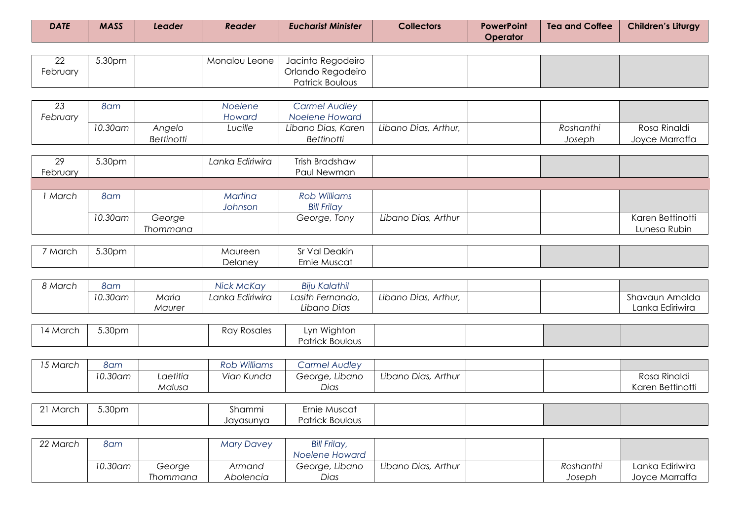| <b>DATE</b> | <b>MASS</b> | Leader | Reader | <b>Eucharist Minister</b> | <b>Collectors</b> | <b>PowerPoint</b><br>Operator | <b>Tea and Coffee</b> | Children's Liturgy |
|-------------|-------------|--------|--------|---------------------------|-------------------|-------------------------------|-----------------------|--------------------|
|-------------|-------------|--------|--------|---------------------------|-------------------|-------------------------------|-----------------------|--------------------|

| $\cap$<br>∠∠ | 5.30pm |  | Monalou Leone   Jacinta Regodeiro |  |  |
|--------------|--------|--|-----------------------------------|--|--|
| February     |        |  | Orlando Regodeiro                 |  |  |
|              |        |  | Patrick Boulous                   |  |  |

| $\cap$   | 8am     |            | Noelene | <b>Carmel Audley</b> |                      |           |                |
|----------|---------|------------|---------|----------------------|----------------------|-----------|----------------|
| February |         |            | Howard  | Noelene Howard       |                      |           |                |
|          | 10.30am | Anaelo     | Lucille | Libano Dias, Karen   | Libano Dias, Arthur, | Roshanthi | Rosa Rinaldi   |
|          |         | Bettinotti |         | <b>Bettinotti</b>    |                      | Joseph    | Jovce Marraffa |

| 29       | 5.30pm  |          | Lanka Ediriwira | Trish Bradshaw      |                     |  |                  |
|----------|---------|----------|-----------------|---------------------|---------------------|--|------------------|
| February |         |          |                 | Paul Newman         |                     |  |                  |
|          |         |          |                 |                     |                     |  |                  |
| March    | 8am     |          | Martina         | <b>Rob Williams</b> |                     |  |                  |
|          |         |          | Johnson         | <b>Bill Frilay</b>  |                     |  |                  |
|          | 10.30am | George   |                 | George, Tony        | Libano Dias, Arthur |  | Karen Bettinotti |
|          |         | Thommana |                 |                     |                     |  | Lunesa Rubin     |

| <sup>7</sup> March | 5.30pm | Maureen | Val Deakin<br>ີ |  |  |
|--------------------|--------|---------|-----------------|--|--|
|                    |        | Delaney | Ernie Muscat    |  |  |

| 8 March | 8am     |        | <b>Nick McKay</b> | <b>Biju Kalathil</b> |                      |  |                 |
|---------|---------|--------|-------------------|----------------------|----------------------|--|-----------------|
|         | 10.30am | Maria  | Lanka Ediriwira   | Lasith Fernando,     | Libano Dias, Arthur, |  | Shavaun Arnolda |
|         |         | Maurer |                   | Libano Dias          |                      |  | Lanka Ediriwira |

| 14 March | 5.30pm | <b>Ray Rosales</b> | Wighton<br>LVN. |  |  |
|----------|--------|--------------------|-----------------|--|--|
|          |        |                    | Patrick Boulous |  |  |

| 15 March | 8am     |          | <b>Rob Williams</b> | Carmel Audley  |                     |  |                  |
|----------|---------|----------|---------------------|----------------|---------------------|--|------------------|
|          | 10.30am | _aetitia | Vian Kunda          | George, Libano | Libano Dias, Arthur |  | Rosa Rinaldi     |
|          |         | Malusa   |                     | Dias           |                     |  | Karen Bettinotti |

| 21 March | 5.30pm | Shammi    | Ernie Muscat    |  |  |
|----------|--------|-----------|-----------------|--|--|
|          |        | Jayasunya | Patrick Boulous |  |  |

| 22 March | 8am     |          | Mary Davey | <b>Bill Frilay,</b> |                     |           |                 |
|----------|---------|----------|------------|---------------------|---------------------|-----------|-----------------|
|          |         |          |            | Noelene Howard      |                     |           |                 |
|          | 10.30am | George   | Armand     | George, Libano      | Libano Dias, Arthur | Roshanthi | Lanka Ediriwira |
|          |         | Thommana | Abolencia  | Dias                |                     | Joseph    | Joyce Marraffa  |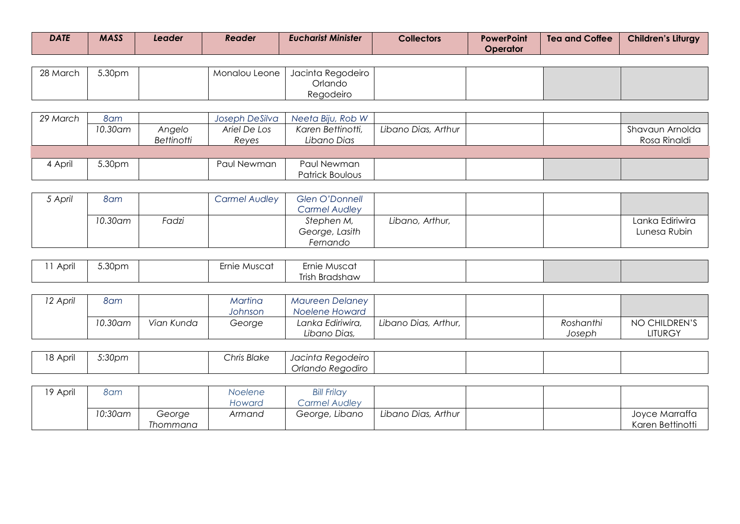| <b>DATE</b> | <b>MASS</b> | Leader | Reader | <b>Eucharist Minister</b> | <b>Collectors</b> | <b>PowerPoint</b><br>Operator | <b>Tea and Coffee</b> | <b>Children's Liturgy</b> |
|-------------|-------------|--------|--------|---------------------------|-------------------|-------------------------------|-----------------------|---------------------------|
|-------------|-------------|--------|--------|---------------------------|-------------------|-------------------------------|-----------------------|---------------------------|

| 28 March | 5.30pm |  | Monalou Leone   Jacinta Regodeiro |  |  |
|----------|--------|--|-----------------------------------|--|--|
|          |        |  | Orlando                           |  |  |
|          |        |  | Regodeiro                         |  |  |

| 29 March | 8am      |                   | Joseph DeSilva | Neeta Biju, Rob W      |                     |  |                 |
|----------|----------|-------------------|----------------|------------------------|---------------------|--|-----------------|
|          | 10.30 am | Angelo            | Ariel De Los   | Karen Bettinotti,      | Libano Dias, Arthur |  | Shavaun Arnolda |
|          |          | <b>Bettinotti</b> | Reves          | Libano Dias            |                     |  | Rosa Rinaldi    |
|          |          |                   |                |                        |                     |  |                 |
| 4 April  | 5.30pm   |                   | Paul Newman    | Paul Newman            |                     |  |                 |
|          |          |                   |                | <b>Patrick Boulous</b> |                     |  |                 |

| 5 April | 8am      |       | <b>Carmel Audley</b> | Glen O'Donnell<br>Carmel Audley          |                 |  |                                 |
|---------|----------|-------|----------------------|------------------------------------------|-----------------|--|---------------------------------|
|         | 10.30 am | Fadzi |                      | Stephen M,<br>George, Lasith<br>Fernando | Libano, Arthur, |  | Lanka Ediriwira<br>Lunesa Rubin |

| Anri<br>$'$ \N $\cup$ . | 5.30pm | Ernie Muscat | Ernie Muscat   |  |  |
|-------------------------|--------|--------------|----------------|--|--|
|                         |        |              | Trish Bradshaw |  |  |

| 12 April | 8am     |            | Martina<br>Johnson | Maureen Delaney<br>Noelene Howard |                        |                     |                          |
|----------|---------|------------|--------------------|-----------------------------------|------------------------|---------------------|--------------------------|
|          | 10.30am | Vian Kunda | George             | Lanka Ediriwira,<br>Libano Dias,  | Libano Dias, Arthur, 1 | Roshanthi<br>Joseph | NO CHILDREN'S<br>LITURGY |

| 18 April | 5:30pm | Chris Blake | Jacinta Regodeiro |  |  |
|----------|--------|-------------|-------------------|--|--|
|          |        |             | Orlando Regodiro  |  |  |

| 19 April | 8am      |          | Noelene | <b>Bill Frilay</b> |                     |  |                  |
|----------|----------|----------|---------|--------------------|---------------------|--|------------------|
|          |          |          | Howard  | Carmel Audley      |                     |  |                  |
|          | 10:30 am | George   | Armand  | George, Libano     | Libano Dias, Arthur |  | Joyce Marraffa   |
|          |          | Thommana |         |                    |                     |  | Karen Bettinotti |